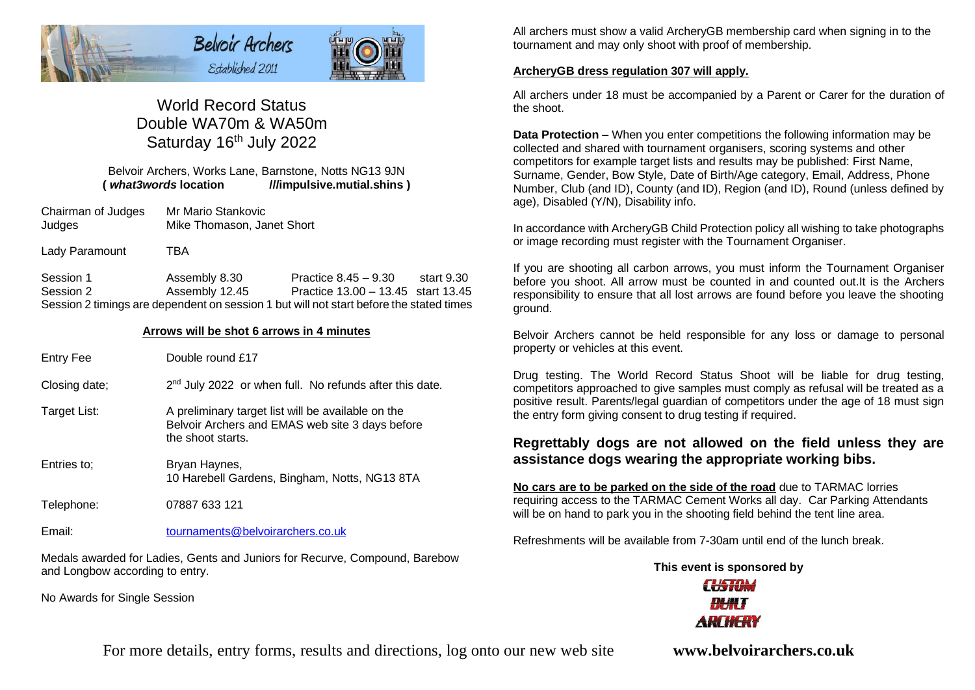

# World Record Status Double WA70m & WA50m Saturday 16<sup>th</sup> July 2022

Belvoir Archers, Works Lane, Barnstone, Notts NG13 9JN **(** *what3words* **location ///impulsive.mutial.shins )**

- Chairman of Judges Mr Mario Stankovic Judges Mike Thomason, Janet Short
- Lady Paramount TBA

Session 1 Assembly 8.30 Practice 8.45 – 9.30 start 9.30 Session 2 Assembly 12.45 Practice 13.00 – 13.45 start 13.45 Session 2 timings are dependent on session 1 but will not start before the stated times

#### **Arrows will be shot 6 arrows in 4 minutes**

- Entry Fee Double round £17
- Closing date; 2<sup>nd</sup> July 2022 or when full. No refunds after this date.
- Target List: A preliminary target list will be available on the Belvoir Archers and EMAS web site 3 days before the shoot starts.
- Entries to; Bryan Haynes, 10 Harebell Gardens, Bingham, Notts, NG13 8TA
- Telephone: 07887 633 121

Email: [tournaments@belvoirarchers.co.uk](mailto:tournaments@belvoirarchers.co.uk)

Medals awarded for Ladies, Gents and Juniors for Recurve, Compound, Barebow and Longbow according to entry.

No Awards for Single Session

All archers must show a valid ArcheryGB membership card when signing in to the tournament and may only shoot with proof of membership.

#### **ArcheryGB dress regulation 307 will apply.**

All archers under 18 must be accompanied by a Parent or Carer for the duration of the shoot.

**Data Protection** – When you enter competitions the following information may be collected and shared with tournament organisers, scoring systems and other competitors for example target lists and results may be published: First Name, Surname, Gender, Bow Style, Date of Birth/Age category, Email, Address, Phone Number, Club (and ID), County (and ID), Region (and ID), Round (unless defined by age), Disabled (Y/N), Disability info.

In accordance with ArcheryGB Child Protection policy all wishing to take photographs or image recording must register with the Tournament Organiser.

If you are shooting all carbon arrows, you must inform the Tournament Organiser before you shoot. All arrow must be counted in and counted out.It is the Archers responsibility to ensure that all lost arrows are found before you leave the shooting ground.

Belvoir Archers cannot be held responsible for any loss or damage to personal property or vehicles at this event.

Drug testing. The World Record Status Shoot will be liable for drug testing, competitors approached to give samples must comply as refusal will be treated as a positive result. Parents/legal guardian of competitors under the age of 18 must sign the entry form giving consent to drug testing if required.

## **Regrettably dogs are not allowed on the field unless they are assistance dogs wearing the appropriate working bibs.**

**No cars are to be parked on the side of the road** due to TARMAC lorries requiring access to the TARMAC Cement Works all day. Car Parking Attendants will be on hand to park you in the shooting field behind the tent line area.

Refreshments will be available from 7-30am until end of the lunch break.

# **This event is sponsored byCHATOM ARTHFRY**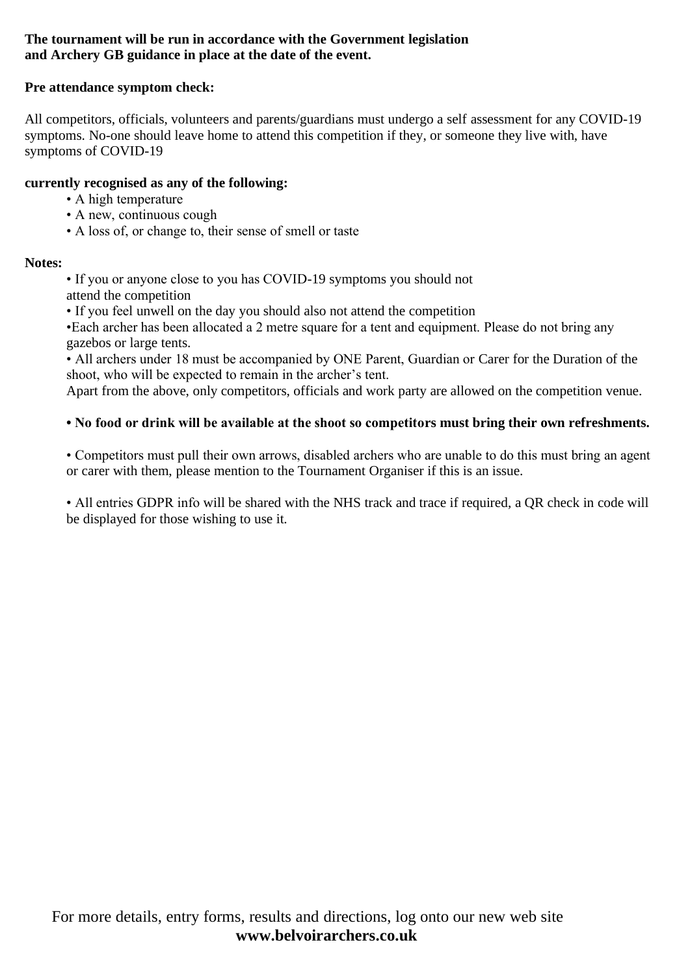# **The tournament will be run in accordance with the Government legislation and Archery GB guidance in place at the date of the event.**

# **Pre attendance symptom check:**

All competitors, officials, volunteers and parents/guardians must undergo a self assessment for any COVID-19 symptoms. No-one should leave home to attend this competition if they, or someone they live with, have symptoms of COVID-19

# **currently recognised as any of the following:**

- A high temperature
- A new, continuous cough
- A loss of, or change to, their sense of smell or taste

# **Notes:**

• If you or anyone close to you has COVID-19 symptoms you should not attend the competition

• If you feel unwell on the day you should also not attend the competition

•Each archer has been allocated a 2 metre square for a tent and equipment. Please do not bring any gazebos or large tents.

• All archers under 18 must be accompanied by ONE Parent, Guardian or Carer for the Duration of the shoot, who will be expected to remain in the archer's tent.

Apart from the above, only competitors, officials and work party are allowed on the competition venue.

# **• No food or drink will be available at the shoot so competitors must bring their own refreshments.**

• Competitors must pull their own arrows, disabled archers who are unable to do this must bring an agent or carer with them, please mention to the Tournament Organiser if this is an issue.

• All entries GDPR info will be shared with the NHS track and trace if required, a OR check in code will be displayed for those wishing to use it.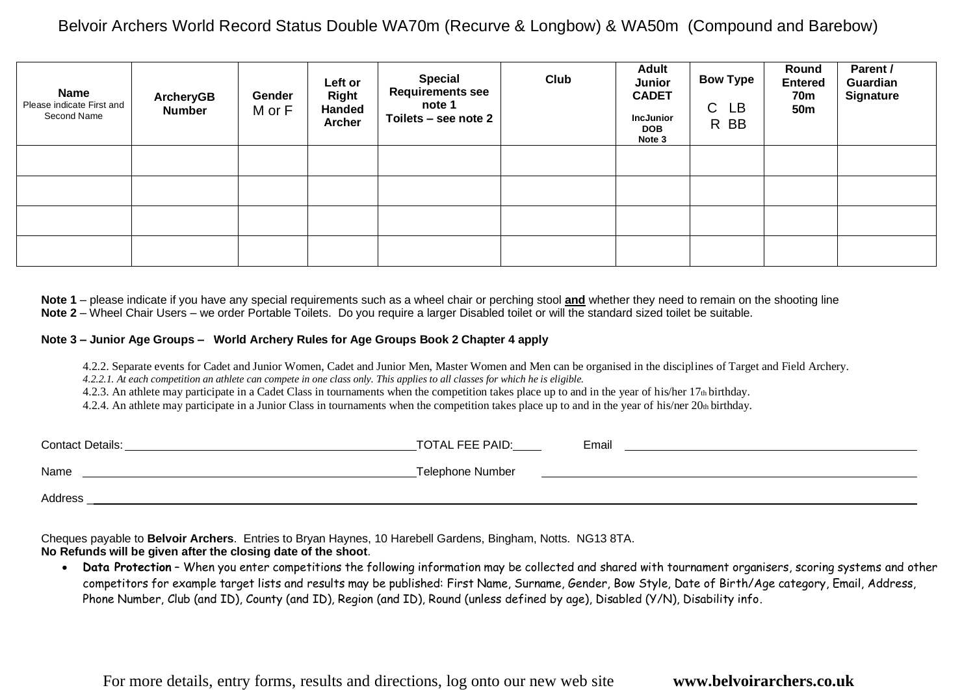| Name<br>Please indicate First and<br>Second Name | <b>ArcheryGB</b><br><b>Number</b> | Gender<br>M or F | Left or<br><b>Right</b><br><b>Handed</b><br><b>Archer</b> | <b>Special</b><br><b>Requirements see</b><br>note 1<br>Toilets - see note 2 | Club | <b>Adult</b><br>Junior<br><b>CADET</b><br><b>IncJunior</b><br><b>DOB</b><br>Note 3 | <b>Bow Type</b><br>$\mathsf C$<br><b>LB</b><br>R BB | Round<br><b>Entered</b><br><b>70m</b><br><b>50m</b> | Parent /<br>Guardian<br><b>Signature</b> |
|--------------------------------------------------|-----------------------------------|------------------|-----------------------------------------------------------|-----------------------------------------------------------------------------|------|------------------------------------------------------------------------------------|-----------------------------------------------------|-----------------------------------------------------|------------------------------------------|
|                                                  |                                   |                  |                                                           |                                                                             |      |                                                                                    |                                                     |                                                     |                                          |
|                                                  |                                   |                  |                                                           |                                                                             |      |                                                                                    |                                                     |                                                     |                                          |
|                                                  |                                   |                  |                                                           |                                                                             |      |                                                                                    |                                                     |                                                     |                                          |
|                                                  |                                   |                  |                                                           |                                                                             |      |                                                                                    |                                                     |                                                     |                                          |

**Note 1** – please indicate if you have any special requirements such as a wheel chair or perching stool **and** whether they need to remain on the shooting line **Note 2** – Wheel Chair Users – we order Portable Toilets. Do you require a larger Disabled toilet or will the standard sized toilet be suitable.

#### **Note 3 – Junior Age Groups – World Archery Rules for Age Groups Book 2 Chapter 4 apply**

4.2.2. Separate events for Cadet and Junior Women, Cadet and Junior Men, Master Women and Men can be organised in the disciplines of Target and Field Archery.

*4.2.2.1. At each competition an athlete can compete in one class only. This applies to all classes for which he is eligible.*

4.2.3. An athlete may participate in a Cadet Class in tournaments when the competition takes place up to and in the year of his/her 17th birthday.

4.2.4. An athlete may participate in a Junior Class in tournaments when the competition takes place up to and in the year of his/ner 20th birthday.

| <b>Contact Details:</b> | TOTAL FEE PAID:  | Email |
|-------------------------|------------------|-------|
| Name                    | Telephone Number |       |
| Address                 |                  |       |

Cheques payable to **Belvoir Archers**. Entries to Bryan Haynes, 10 Harebell Gardens, Bingham, Notts. NG13 8TA. **No Refunds will be given after the closing date of the shoot**.

• **Data Protection** – When you enter competitions the following information may be collected and shared with tournament organisers, scoring systems and other competitors for example target lists and results may be published: First Name, Surname, Gender, Bow Style, Date of Birth/Age category, Email, Address, Phone Number, Club (and ID), County (and ID), Region (and ID), Round (unless defined by age), Disabled (Y/N), Disability info.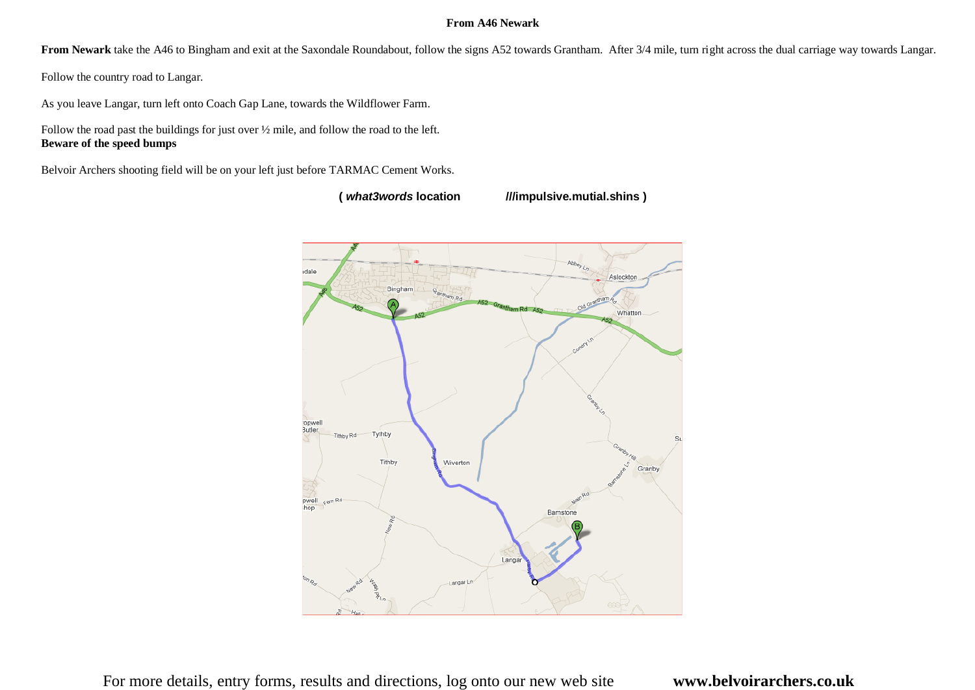## **From A46 Newark**

From Newark take the A46 to Bingham and exit at the Saxondale Roundabout, follow the signs A52 towards Grantham. After 3/4 mile, turn right across the dual carriage way towards Langar.

Follow the country road to Langar.

As you leave Langar, turn left onto Coach Gap Lane, towards the Wildflower Farm.

Follow the road past the buildings for just over ½ mile, and follow the road to the left. **Beware of the speed bumps**

Belvoir Archers shooting field will be on your left just before TARMAC Cement Works.

**(** *what3words* **location ///impulsive.mutial.shins )**

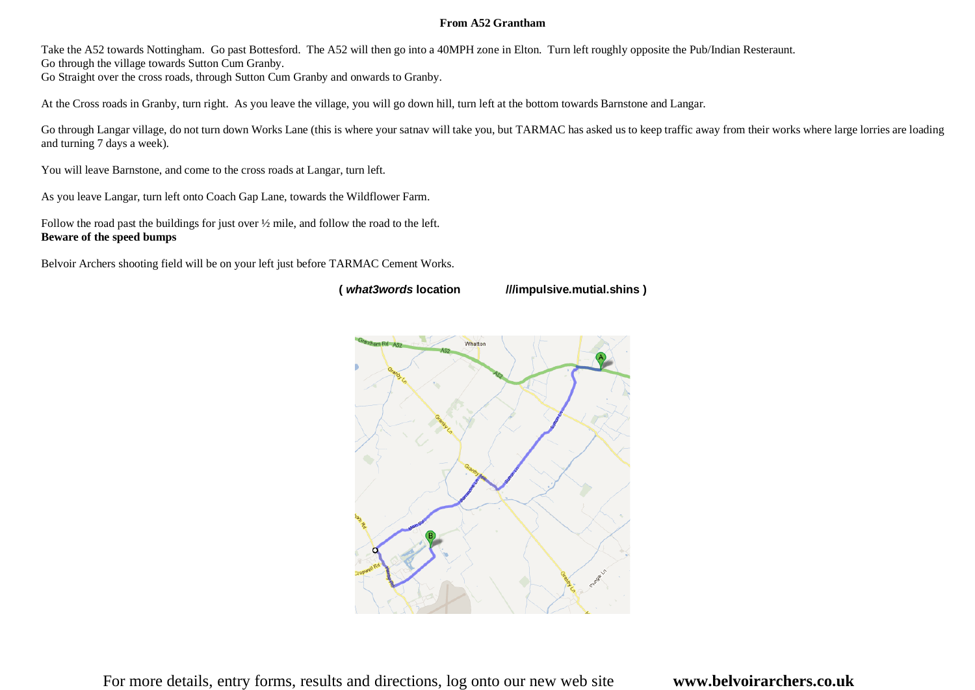#### **From A52 Grantham**

Take the A52 towards Nottingham. Go past Bottesford. The A52 will then go into a 40MPH zone in Elton. Turn left roughly opposite the Pub/Indian Resteraunt.

Go through the village towards Sutton Cum Granby.

Go Straight over the cross roads, through Sutton Cum Granby and onwards to Granby.

At the Cross roads in Granby, turn right. As you leave the village, you will go down hill, turn left at the bottom towards Barnstone and Langar.

Go through Langar village, do not turn down Works Lane (this is where your satnav will take you, but TARMAC has asked us to keep traffic away from their works where large lorries are loading and turning 7 days a week).

You will leave Barnstone, and come to the cross roads at Langar, turn left.

As you leave Langar, turn left onto Coach Gap Lane, towards the Wildflower Farm.

Follow the road past the buildings for just over ½ mile, and follow the road to the left. **Beware of the speed bumps**

Belvoir Archers shooting field will be on your left just before TARMAC Cement Works.

**(** *what3words* **location ///impulsive.mutial.shins )**

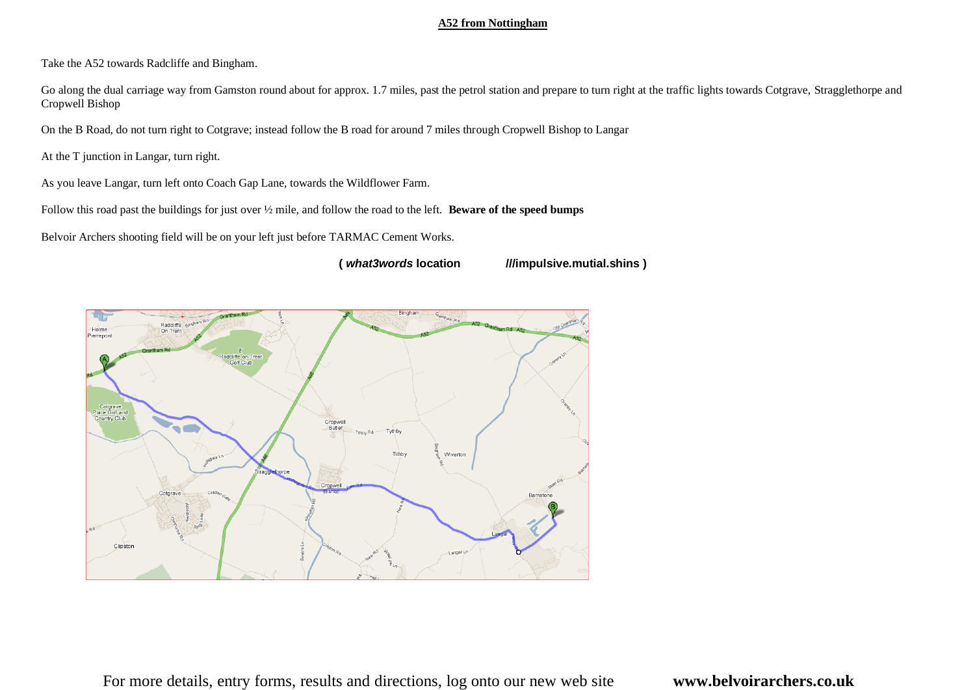### **A52 from Nottingham**

Take the A52 towards Radcliffe and Bingham.

Go along the dual carriage way from Gamston round about for approx. 1.7 miles, past the petrol station and prepare to turn right at the traffic lights towards Cotgrave, Stragglethorpe and Cropwell Bishop

On the B Road, do not turn right to Cotgrave; instead follow the B road for around 7 miles through Cropwell Bishop to Langar

At the T junction in Langar, turn right.

As you leave Langar, turn left onto Coach Gap Lane, towards the Wildflower Farm.

Follow this road past the buildings for just over ½ mile, and follow the road to the left. **Beware of the speed bumps**

Belvoir Archers shooting field will be on your left just before TARMAC Cement Works.

**(** *what3words* **location ///impulsive.mutial.shins )**